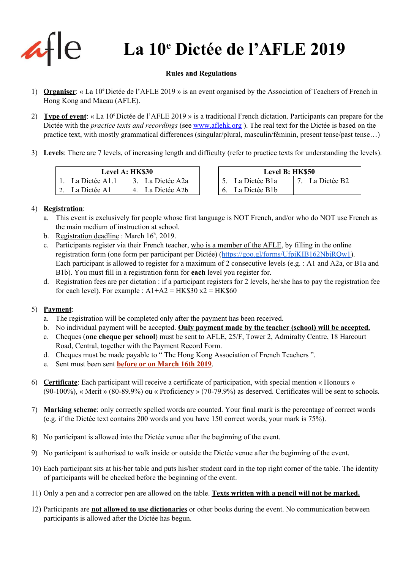

# **La 10 <sup>e</sup> Dictée de l'AFLE 2019**

#### **Rules and Regulations**

- 1) **Organiser**: « La 10<sup>e</sup> Dictée de l'AFLE 2019 » is an event organised by the Association of Teachers of French in Hong Kong and Macau (AFLE).
- 2) Type of event: « La 10<sup>e</sup> Dictée de l'AFLE 2019 » is a traditional French dictation. Participants can prepare for the Dictée with the *practice texts and recordings* (see [www.aflehk.org](http://www.aflehk.org/) ). The real text for the Dictée is based on the practice text, with mostly grammatical differences (singular/plural, masculin/féminin, present tense/past tense…)
- 3) **Levels**: There are 7 levels, of increasing length and difficulty (refer to practice texts for understanding the levels).

| Level A: HK\$30 |                   |  |                  |  |  |  |  |
|-----------------|-------------------|--|------------------|--|--|--|--|
|                 | 1. La Dictée A1.1 |  | 3. La Dictée A2a |  |  |  |  |
|                 | 2. La Dictée A1   |  | 4. La Dictée A2b |  |  |  |  |

| <b>Level A: HK\$30</b> |  |                  | Level B: HK\$50 |                          |  |                 |
|------------------------|--|------------------|-----------------|--------------------------|--|-----------------|
| A1.1                   |  | 3. La Dictée A2a |                 | $\vert$ 5. La Dictée B1a |  | 7. La Dictée B2 |
| $\mathsf{A}^{\cdot}$   |  | 4. La Dictée A2b |                 | 6. La Dictée B1b         |  |                 |

#### 4) **Registration**:

- a. This event is exclusively for people whose first language is NOT French, and/or who do NOT use French as the main medium of instruction at school.
- b. Registration deadline: March  $16^h$ , 2019.
- c. Participants register via their French teacher, who is a member of the AFLE, by filling in the online registration form (one form per participant per Dictée) [\(https://goo.gl/forms/UfpiKIB162NbjRQw1](https://goo.gl/forms/UfpiKIB162NbjRQw1)). Each participant is allowed to register for a maximum of 2 consecutive levels (e.g. : A1 and A2a, or B1a and B1b). You must fill in a registration form for **each** level you register for.
- d. Registration fees are per dictation : if a participant registers for 2 levels, he/she has to pay the registration fee for each level). For example :  $A1+A2 = HK$30 x2 = HK$60$

### 5) **Payment**:

- a. The registration will be completed only after the payment has been received.
- b. No individual payment will be accepted. **Only payment made by the teacher (school) will be accepted.**
- c. Cheques (**one cheque per school**) must be sent to AFLE, 25/F, Tower 2, Admiralty Centre, 18 Harcourt Road, Central, together with the Payment Record Form.
- d. Cheques must be made payable to " The Hong Kong Association of French Teachers ".
- e. Sent must been sent **before or on March 16th 2019**.
- 6) **Certificate**: Each participant will receive a certificate of participation, with special mention « Honours » (90-100%), « Merit » (80-89.9%) ou « Proficiency » (70-79.9%) as deserved. Certificates will be sent to schools.
- 7) **Marking scheme**: only correctly spelled words are counted. Your final mark is the percentage of correct words (e.g. if the Dictée text contains 200 words and you have 150 correct words, your mark is 75%).
- 8) No participant is allowed into the Dictée venue after the beginning of the event.
- 9) No participant is authorised to walk inside or outside the Dictée venue after the beginning of the event.
- 10) Each participant sits at his/her table and puts his/her student card in the top right corner of the table. The identity of participants will be checked before the beginning of the event.
- 11) Only a pen and a corrector pen are allowed on the table. **Texts written with a pencil will not be marked.**
- 12) Participants are **not allowed to use dictionaries** or other books during the event. No communication between participants is allowed after the Dictée has begun.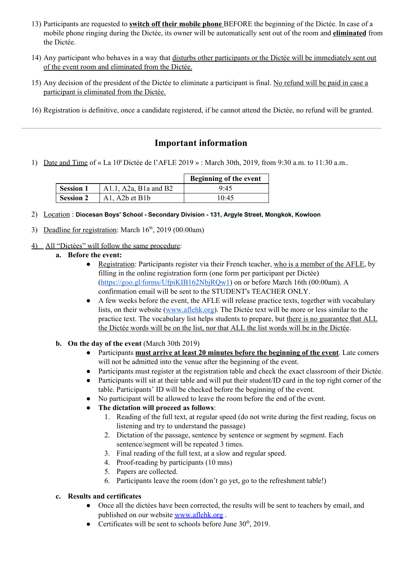- 13) Participants are requested to **switch off their mobile phone** BEFORE the beginning of the Dictée. In case of a mobile phone ringing during the Dictée, its owner will be automatically sent out of the room and **eliminated** from the Dictée.
- 14) Any participant who behaves in a way that disturbs other participants or the Dictée will be immediately sent out of the event room and eliminated from the Dictée.
- 15) Any decision of the president of the Dictée to eliminate a participant is final. No refund will be paid in case a participant is eliminated from the Dictée.
- 16) Registration is definitive, once a candidate registered, if he cannot attend the Dictée, no refund will be granted.

## **Important information**

1) Date and Time of « La 10<sup>e</sup> Dictée de l'AFLE 2019 » : March 30th, 2019, from 9:30 a.m. to 11:30 a.m..

|                  |                                                           | Beginning of the event |
|------------------|-----------------------------------------------------------|------------------------|
| <b>Session 1</b> | A $1.1$ , A $2a$ , B $1a$ and B $2$                       | 9.45                   |
| <b>Session 2</b> | A <sub>1</sub> , A <sub>2</sub> $b$ et B <sub>1</sub> $b$ | 10:45                  |

- 2) Location : **Diocesan Boys' School Secondary Division 131, Argyle Street, Mongkok, Kowloon**
- 3) Deadline for registration: March  $16<sup>th</sup>$ , 2019 (00:00am)
- 4) All "Dictées" will follow the same procedure:
	- **a. Before the event:**
		- Registration: Participants register via their French teacher, who is a member of the AFLE, by filling in the online registration form (one form per participant per Dictée) [\(https://goo.gl/forms/UfpiKIB162NbjRQw1](https://goo.gl/forms/UfpiKIB162NbjRQw1)) on or before March 16th (00:00am). A confirmation email will be sent to the STUDENT's TEACHER ONLY.
		- A few weeks before the event, the AFLE will release practice texts, together with vocabulary lists, on their website [\(www.aflehk.org\)](http://www.aflehk.org/). The Dictée text will be more or less similar to the practice text. The vocabulary list helps students to prepare, but there is no guarantee that ALL the Dictée words will be on the list, nor that ALL the list words will be in the Dictée.
	- **b. On the day of the event** (March 30th 2019)
		- Participants **must arrive at least 20 minutes before the beginning of the event**. Late comers will not be admitted into the venue after the beginning of the event.
		- Participants must register at the registration table and check the exact classroom of their Dictée.
		- Participants will sit at their table and will put their student/ID card in the top right corner of the table. Participants' ID will be checked before the beginning of the event.
		- No participant will be allowed to leave the room before the end of the event.
		- **The dictation will proceed as follows**:
			- 1. Reading of the full text, at regular speed (do not write during the first reading, focus on listening and try to understand the passage)
			- 2. Dictation of the passage, sentence by sentence or segment by segment. Each sentence/segment will be repeated 3 times.
			- 3. Final reading of the full text, at a slow and regular speed.
			- 4. Proof-reading by participants (10 mns)
			- 5. Papers are collected.
			- 6. Participants leave the room (don't go yet, go to the refreshment table!)

#### **c. Results and certificates**

- Once all the dictées have been corrected, the results will be sent to teachers by email, and published on our website [www.aflehk.org](http://www.aflehk.org/) .
- Certificates will be sent to schools before June  $30<sup>th</sup>$ , 2019.